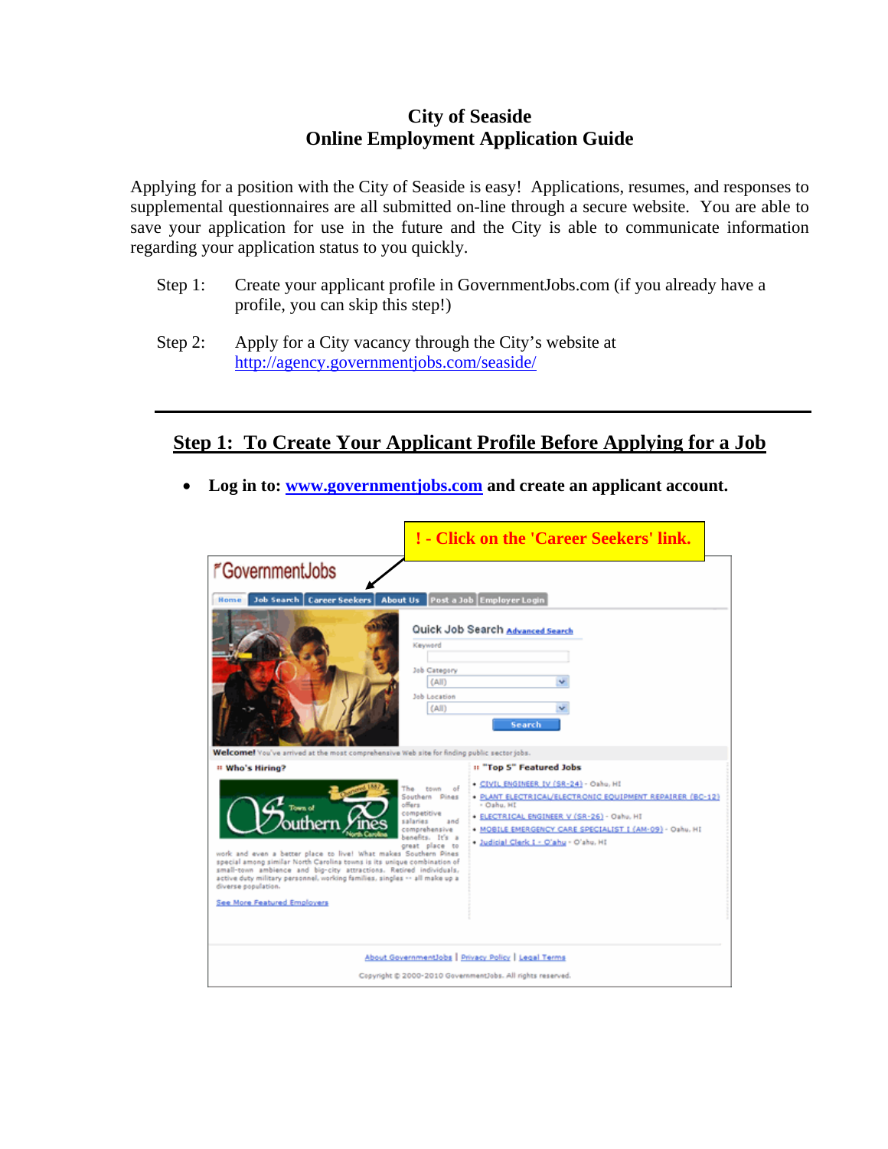## **City of Seaside Online Employment Application Guide**

Applying for a position with the City of Seaside is easy! Applications, resumes, and responses to supplemental questionnaires are all submitted on-line through a secure website. You are able to save your application for use in the future and the City is able to communicate information regarding your application status to you quickly.

- Step 1: Create your applicant profile in GovernmentJobs.com (if you already have a profile, you can skip this step!)
- Step 2: Apply for a City vacancy through the City's website at <http://agency.governmentjobs.com/seaside/>

## **Step 1: To Create Your Applicant Profile Before Applying for a Job**

• **Log in to: [www.governmentjobs.com](https://www.governmentjobs.com/index.cfm) and create an applicant account.** 

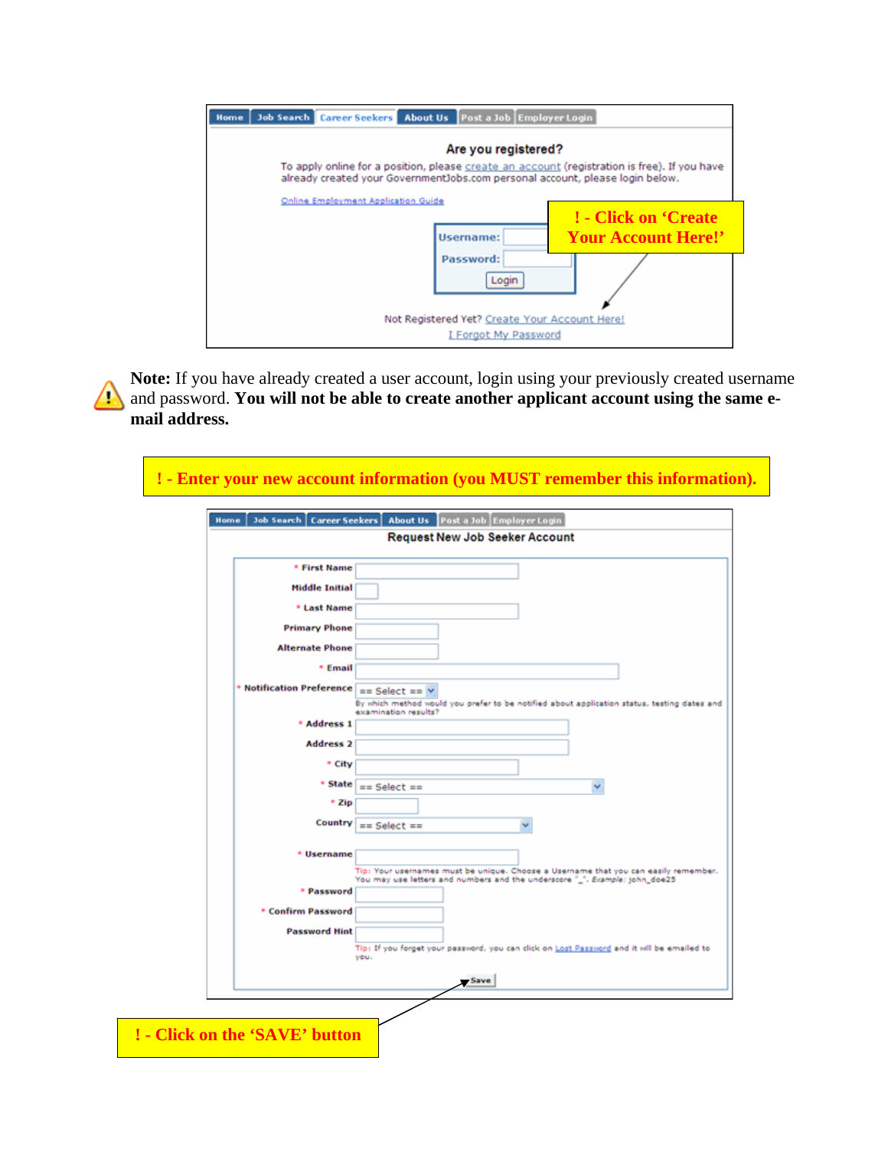| Home |                                     | Job Search   Career Seekers   About Us   Post a Job   Employer Login          |                                                                                              |
|------|-------------------------------------|-------------------------------------------------------------------------------|----------------------------------------------------------------------------------------------|
|      |                                     | Are you registered?                                                           |                                                                                              |
|      |                                     | already created your GovernmentJobs.com personal account, please login below. | To apply online for a position, please create an account (registration is free). If you have |
|      | Online Employment Application Guide |                                                                               |                                                                                              |
|      |                                     |                                                                               | ! - Click on 'Create                                                                         |
|      |                                     | Username:                                                                     | <b>Your Account Here!'</b>                                                                   |
|      |                                     | Password:                                                                     |                                                                                              |
|      |                                     | Login                                                                         |                                                                                              |
|      |                                     |                                                                               |                                                                                              |
|      |                                     | Not Registered Yet? Create Your Account Here!                                 |                                                                                              |
|      |                                     | I Forgot My Password                                                          |                                                                                              |

**Note:** If you have already created a user account, login using your previously created username **1** and password. You will not be able to create another applicant account using the same e**mail address.**

| <b>Job Search   Career Seekers  </b><br>Home | About Us Post a Job Employer Login                                                                                  |
|----------------------------------------------|---------------------------------------------------------------------------------------------------------------------|
|                                              | <b>Request New Job Seeker Account</b>                                                                               |
| * First Name                                 |                                                                                                                     |
| <b>Middle Initial</b>                        |                                                                                                                     |
| * Last Name                                  |                                                                                                                     |
| <b>Primary Phone</b>                         |                                                                                                                     |
| <b>Alternate Phone</b>                       |                                                                                                                     |
| * Email                                      |                                                                                                                     |
| * Notification Preference == Select == V     |                                                                                                                     |
|                                              | By which method would you prefer to be notified about application status, testing dates and<br>examination results? |
| * Address 1                                  |                                                                                                                     |
| <b>Address 2</b>                             |                                                                                                                     |
| * City                                       |                                                                                                                     |
|                                              | $*$ State $  ==$ Select $==$                                                                                        |
| + Zip                                        |                                                                                                                     |
| Country                                      | $== Select ==$                                                                                                      |
| * Username                                   |                                                                                                                     |
|                                              | Tip: Your usernames must be unique. Choose a Username that you can easily remember.                                 |
| * Password                                   | You may use letters and numbers and the underscore "_". Eismple: john_doe25                                         |
| * Confirm Password                           |                                                                                                                     |
| <b>Password Hint</b>                         |                                                                                                                     |
|                                              | Tip: If you forget your password, you can click on Lost Password and it will be emailed to<br>you.                  |
|                                              |                                                                                                                     |
|                                              | - Save                                                                                                              |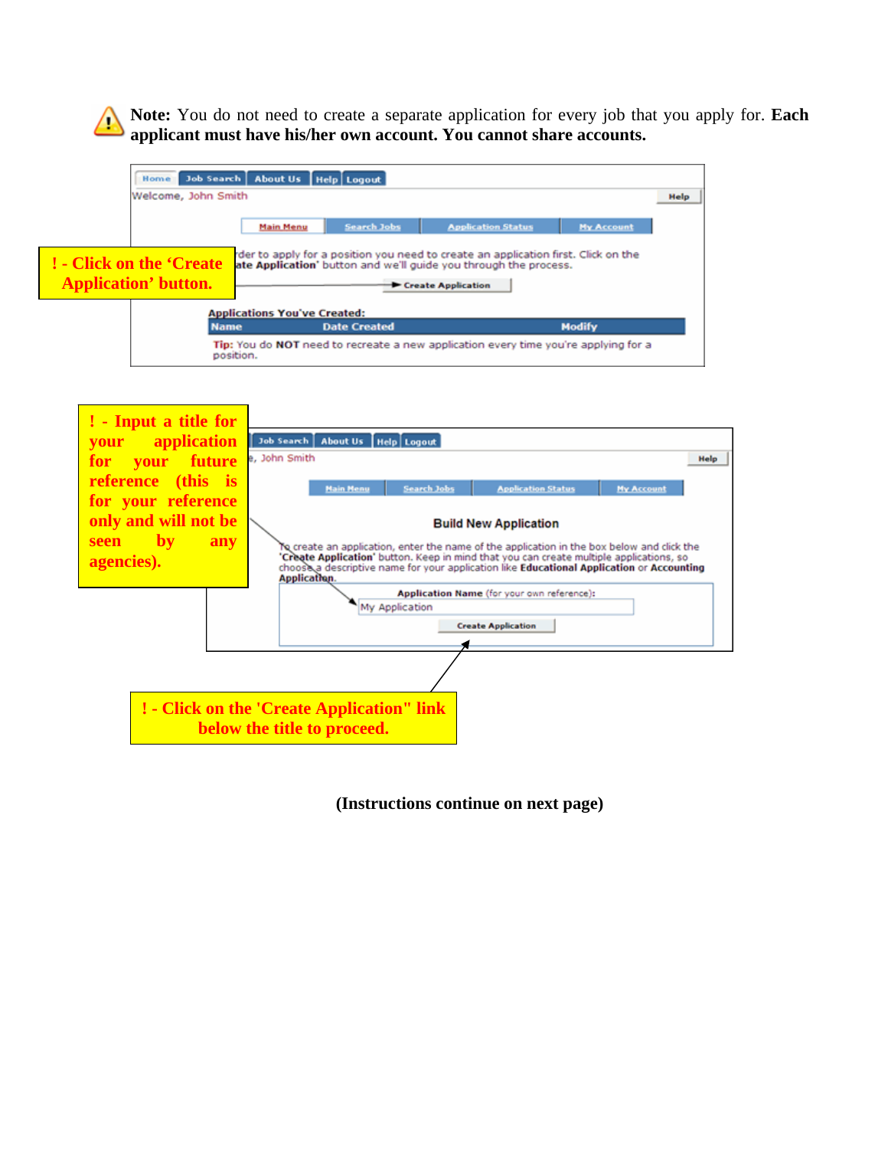**Note:** You do not need to create a separate application for every job that you apply for. **Each**  4 **applicant must have his/her own account. You cannot share accounts.**





**(Instructions continue on next page)**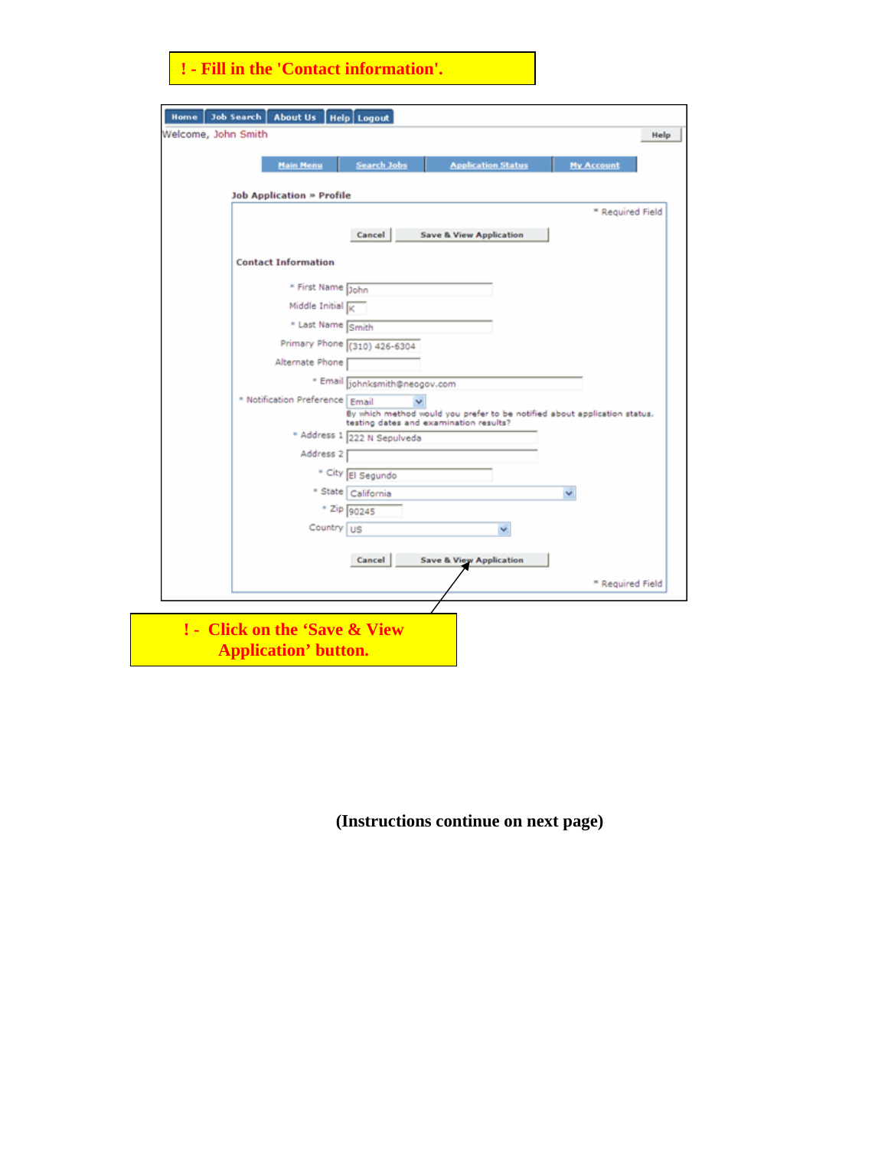## **! - Fill in the 'Contact information'.**

| <b>Main Menu</b>                       | <b>Search Jobs</b>                     | <b>Application Status</b>          | <b>My Account</b>                                                         |  |
|----------------------------------------|----------------------------------------|------------------------------------|---------------------------------------------------------------------------|--|
| <b>Job Application » Profile</b>       |                                        |                                    |                                                                           |  |
|                                        |                                        |                                    | * Required Field                                                          |  |
|                                        | Cancel                                 | <b>Save &amp; View Application</b> |                                                                           |  |
| <b>Contact Information</b>             |                                        |                                    |                                                                           |  |
| * First Name John                      |                                        |                                    |                                                                           |  |
| Middle Initial $\overline{\mathbb{R}}$ |                                        |                                    |                                                                           |  |
| * Last Name Smith                      |                                        |                                    |                                                                           |  |
|                                        | Primary Phone (310) 426-6304           |                                    |                                                                           |  |
| Alternate Phone                        |                                        |                                    |                                                                           |  |
|                                        | · Email johnksmith@neogov.com          |                                    |                                                                           |  |
| * Notification Preference Email        |                                        |                                    |                                                                           |  |
|                                        | testing dates and examination results? |                                    | By which method would you prefer to be notified about application status. |  |
|                                        | * Address 1 222 N Sepulveda            |                                    |                                                                           |  |
| Address <sub>2</sub>                   |                                        |                                    |                                                                           |  |
|                                        | * City El Segundo                      |                                    |                                                                           |  |
|                                        | * State   California                   |                                    | v                                                                         |  |
|                                        | * Zip 90245                            |                                    |                                                                           |  |
| Country   US                           |                                        |                                    |                                                                           |  |
|                                        | Cancel                                 | <b>Save &amp; View Application</b> |                                                                           |  |
|                                        |                                        |                                    |                                                                           |  |
|                                        |                                        |                                    | <sup>*</sup> Required Field                                               |  |

**(Instructions continue on next page)**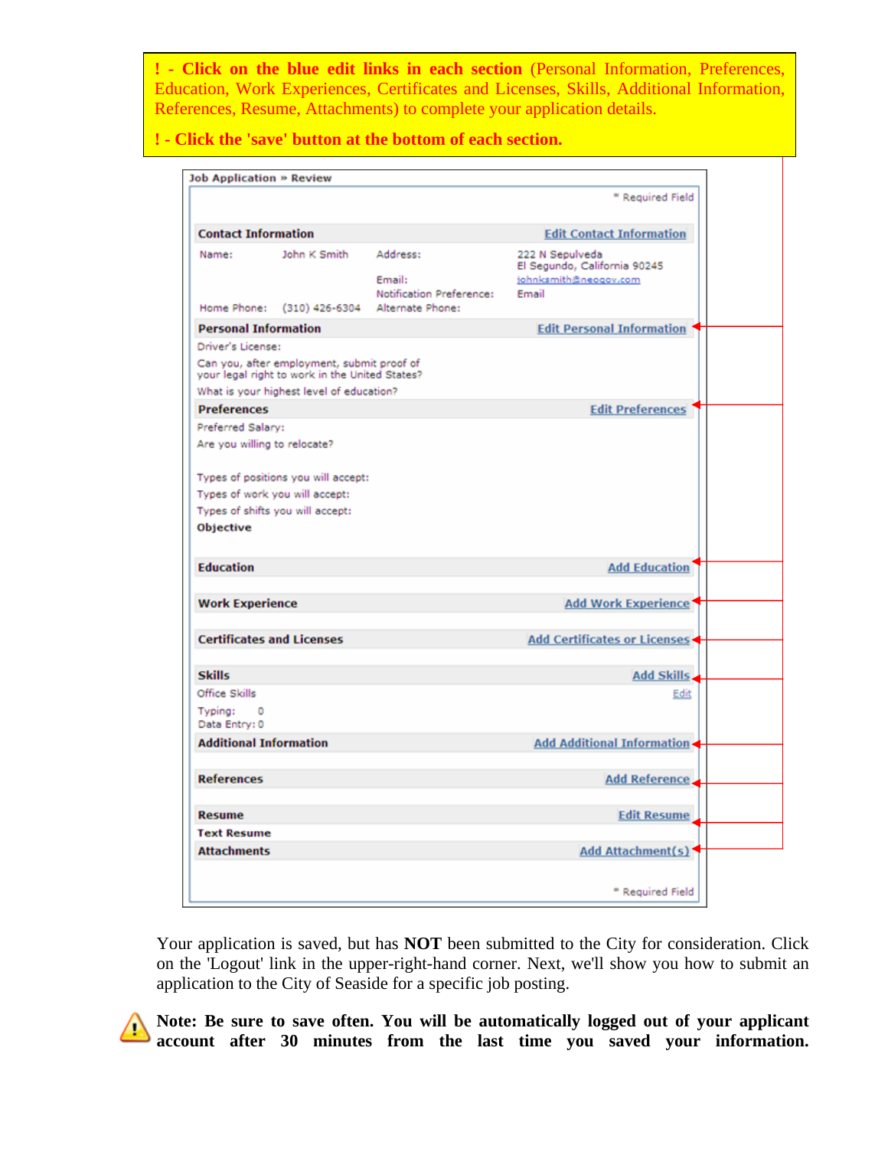**! - Click on the blue edit links in each section** (Personal Information, Preferences, Education, Work Experiences, Certificates and Licenses, Skills, Additional Information, References, Resume, Attachments) to complete your application details.

**! - Click the 'save' button at the bottom of each section.** 

| <b>Job Application » Review</b>                   |                                                                                              |                                                |                                                                                   |  |
|---------------------------------------------------|----------------------------------------------------------------------------------------------|------------------------------------------------|-----------------------------------------------------------------------------------|--|
|                                                   |                                                                                              |                                                | ** Required Field                                                                 |  |
| <b>Contact Information</b>                        |                                                                                              |                                                | <b>Edit Contact Information</b>                                                   |  |
| Name:                                             | John K Smith                                                                                 | Address:<br>Email:<br>Notification Preference: | 222 N Sepulveda<br>El Segundo, California 90245<br>johnksmith@neogov.com<br>Email |  |
| Home Phone:                                       | $(310)$ 426-6304                                                                             | Alternate Phone:                               |                                                                                   |  |
| <b>Personal Information</b>                       |                                                                                              |                                                | <b>Edit Personal Information</b>                                                  |  |
| Driver's License:                                 |                                                                                              |                                                |                                                                                   |  |
|                                                   | Can you, after employment, submit proof of<br>your legal right to work in the United States? |                                                |                                                                                   |  |
|                                                   | What is your highest level of education?                                                     |                                                |                                                                                   |  |
| <b>Preferences</b>                                |                                                                                              |                                                | <b>Edit Preferences</b>                                                           |  |
| Preferred Salary:<br>Are you willing to relocate? |                                                                                              |                                                |                                                                                   |  |
|                                                   | Types of positions you will accept:                                                          |                                                |                                                                                   |  |
| Types of work you will accept:                    |                                                                                              |                                                |                                                                                   |  |
|                                                   | Types of shifts you will accept:                                                             |                                                |                                                                                   |  |
| <b>Objective</b>                                  |                                                                                              |                                                |                                                                                   |  |
| <b>Education</b>                                  |                                                                                              |                                                | <b>Add Education</b>                                                              |  |
| <b>Work Experience</b>                            |                                                                                              |                                                | <b>Add Work Experience</b>                                                        |  |
| <b>Certificates and Licenses</b>                  |                                                                                              |                                                | <b>Add Certificates or Licenses</b>                                               |  |
| <b>Skills</b>                                     |                                                                                              |                                                | Add Skills.                                                                       |  |
| Office Skills                                     |                                                                                              |                                                | Edit                                                                              |  |
| Typing:<br>$\circ$<br>Data Entry: 0               |                                                                                              |                                                |                                                                                   |  |
| <b>Additional Information</b>                     |                                                                                              |                                                | <b>Add Additional Information</b>                                                 |  |
| <b>References</b>                                 |                                                                                              |                                                | <b>Add Reference</b> .                                                            |  |
| <b>Resume</b>                                     |                                                                                              |                                                | <b>Edit Resume</b>                                                                |  |
| <b>Text Resume</b>                                |                                                                                              |                                                |                                                                                   |  |
| <b>Attachments</b>                                |                                                                                              |                                                | Add Attachment(s)                                                                 |  |
|                                                   |                                                                                              |                                                |                                                                                   |  |
|                                                   |                                                                                              |                                                | * Required Field                                                                  |  |

Your application is saved, but has **NOT** been submitted to the City for consideration. Click on the 'Logout' link in the upper-right-hand corner. Next, we'll show you how to submit an application to the City of Seaside for a specific job posting.



**Note: Be sure to save often. You will be automatically logged out of your applicant account after 30 minutes from the last time you saved your information.**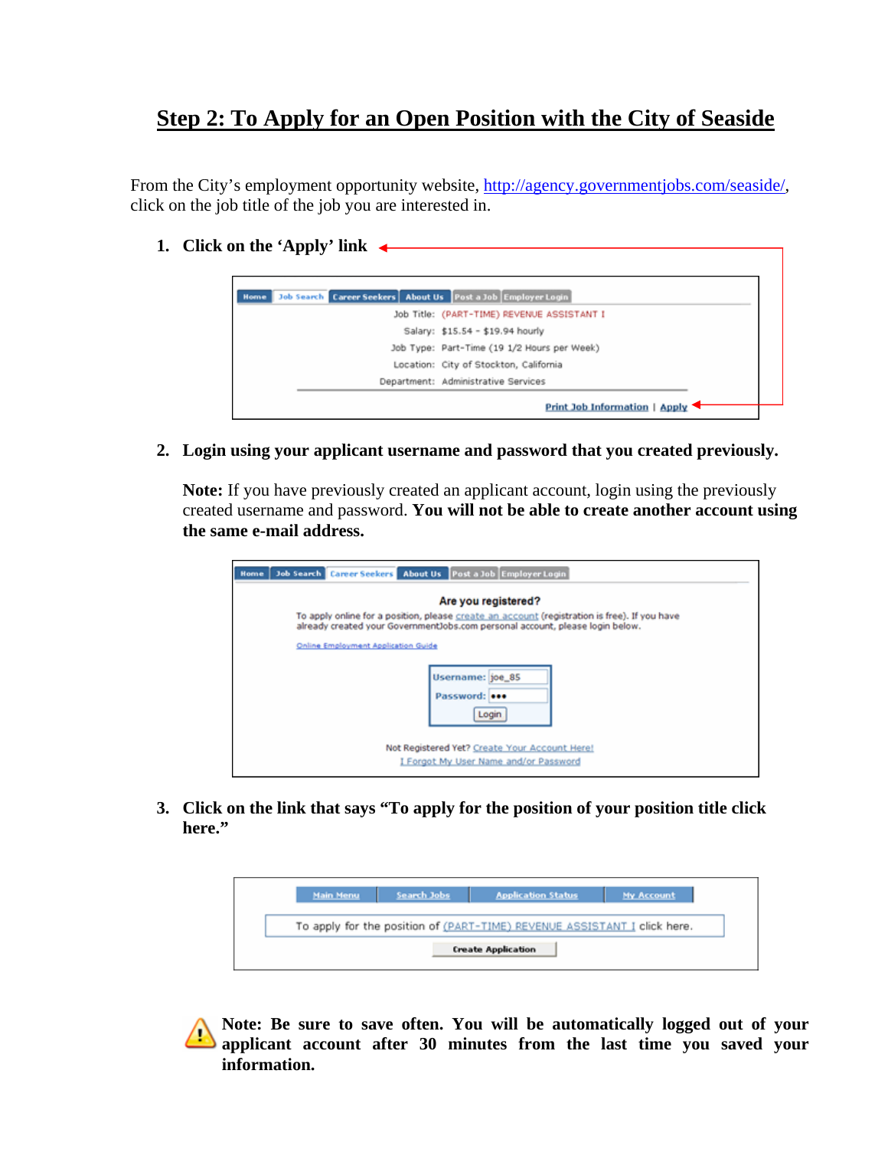## **Step 2: To Apply for an Open Position with the City of Seaside**

From the City's employment opportunity website, [http://agency.governmentjobs.com/seaside/,](http://agency.governmentjobs.com/seaside/) click on the job title of the job you are interested in.

**1. Click on the 'Apply' link** 



**2. Login using your applicant username and password that you created previously.** 

**Note:** If you have previously created an applicant account, login using the previously created username and password. **You will not be able to create another account using the same e-mail address.**

| Job Search Career Seekers About Us Post a Job Employer Login<br><b>Home</b>                                                                                                   |
|-------------------------------------------------------------------------------------------------------------------------------------------------------------------------------|
| Are you registered?                                                                                                                                                           |
| To apply online for a position, please create an account (registration is free). If you have<br>already created your GovernmentJobs.com personal account, please login below. |
| <b>Online Employment Application Guide</b>                                                                                                                                    |
| Username: joe_85<br>Password: <b>eee</b><br>Login                                                                                                                             |
| Not Registered Yet? Create Your Account Here!<br>I Forgot My User Name and/or Password                                                                                        |

**3. Click on the link that says "To apply for the position of your position title click here."** 

| To apply for the position of (PART-TIME) REVENUE ASSISTANT I click here. |
|--------------------------------------------------------------------------|



**Note: Be sure to save often. You will be automatically logged out of your applicant account after 30 minutes from the last time you saved your information.**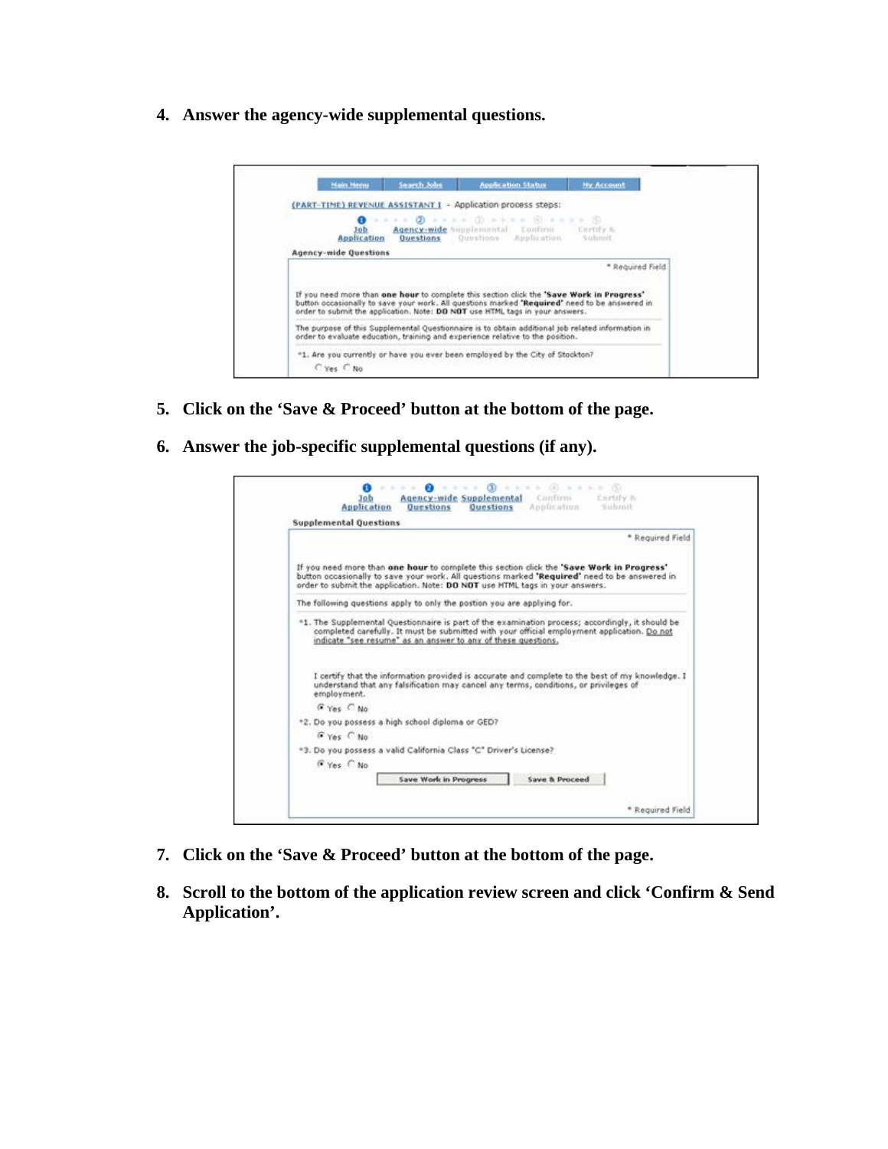**4. Answer the agency-wide supplemental questions.** 



- **5. Click on the 'Save & Proceed' button at the bottom of the page.**
- **6. Answer the job-specific supplemental questions (if any).**

| <b>Supplemental Questions</b> |                                                                                                                                                                                                                                                                                                                                                                     |
|-------------------------------|---------------------------------------------------------------------------------------------------------------------------------------------------------------------------------------------------------------------------------------------------------------------------------------------------------------------------------------------------------------------|
|                               | * Required Field                                                                                                                                                                                                                                                                                                                                                    |
|                               | If you need more than one hour to complete this section click the 'Save Work in Progress'<br>button occasionally to save your work. All questions marked "Required" need to be answered in<br>order to submit the application. Note: DO NOT use HTML tags in your answers.                                                                                          |
|                               | The following questions apply to only the postion you are applying for.                                                                                                                                                                                                                                                                                             |
|                               | *1. The Supplemental Questionnaire is part of the examination process: accordingly, it should be<br>completed carefully. It must be submitted with your official employment application. Do not<br>indicate "see resume" as an answer to any of these questions.<br>I certify that the information provided is accurate and complete to the best of my knowledge. I |
| employment.                   | understand that any falsification may cancel any terms, conditions, or privileges of                                                                                                                                                                                                                                                                                |
| G Yes C No.                   |                                                                                                                                                                                                                                                                                                                                                                     |
|                               | *2. Do you possess a high school diploma or GED?                                                                                                                                                                                                                                                                                                                    |
| G Yes C No                    |                                                                                                                                                                                                                                                                                                                                                                     |
|                               | "3. Do you possess a valid California Class "C" Driver's License?                                                                                                                                                                                                                                                                                                   |
| F Yes C No.                   |                                                                                                                                                                                                                                                                                                                                                                     |
|                               | Save Work in Progress<br><b>Save &amp; Proceed</b>                                                                                                                                                                                                                                                                                                                  |

- **7. Click on the 'Save & Proceed' button at the bottom of the page.**
- **8. Scroll to the bottom of the application review screen and click 'Confirm & Send Application'.**